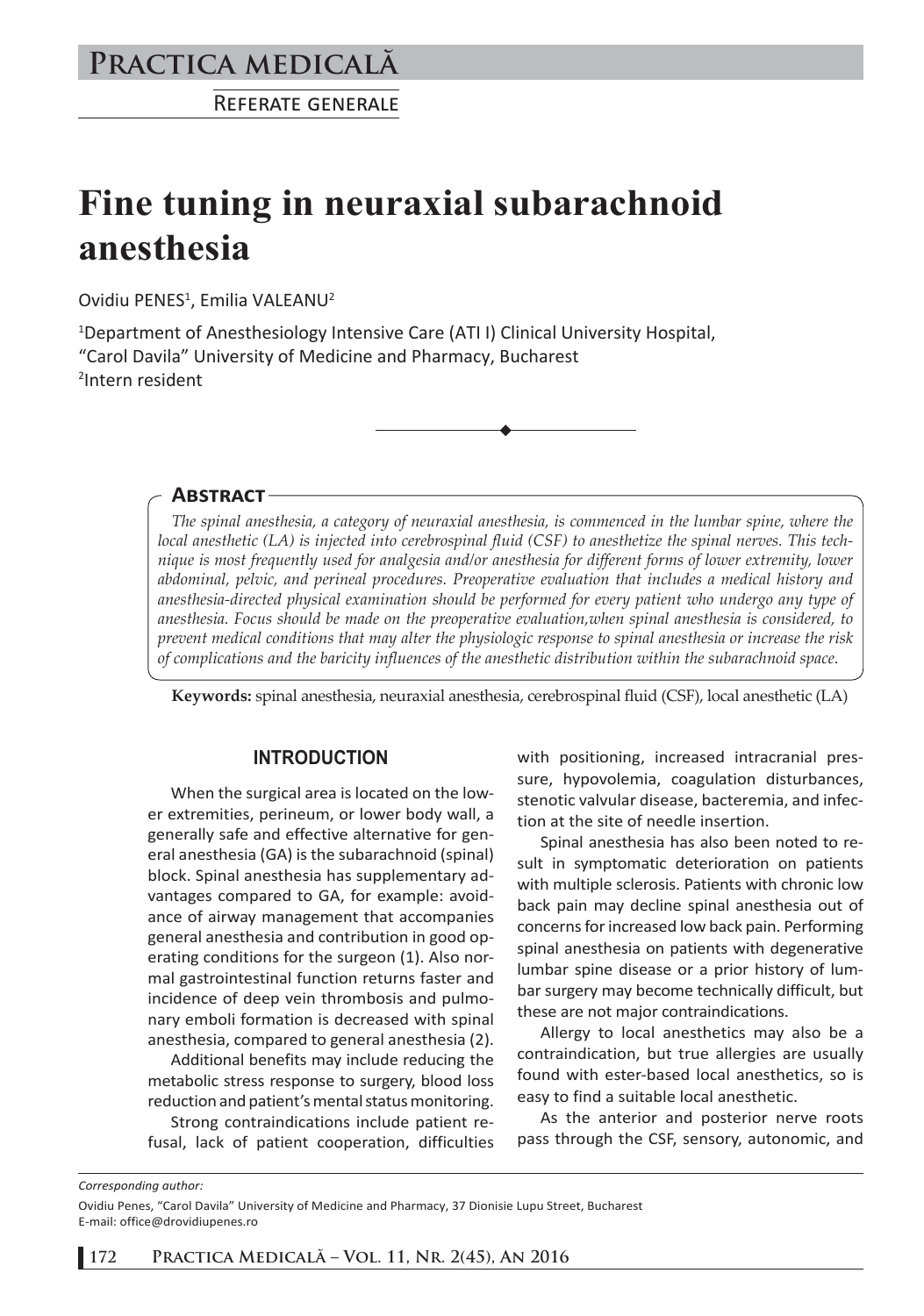# **Practica medicală**

REFERATE GENERALE

# **Fine tuning in neuraxial subarachnoid anesthesia**

Ovidiu PENES<sup>1</sup>, Emilia VALEANU<sup>2</sup>

<sup>1</sup>Department of Anesthesiology Intensive Care (ATII) Clinical University Hospital, "Carol Davila" University of Medicine and Pharmacy, Bucharest 2 Intern resident

**ABSTRACT**

*The spinal anesthesia, a category of neuraxial anesthesia, is commenced in the lumbar spine, where the local anesthetic (LA) is injected into cerebrospinal fluid (CSF) to anesthetize the spinal nerves. This technique is most frequently used for analgesia and/or anesthesia for different forms of lower extremity, lower abdominal, pelvic, and perineal procedures. Preoperative evaluation that includes a medical history and anesthesia-directed physical examination should be performed for every patient who undergo any type of anesthesia. Focus should be made on the preoperative evaluation,when spinal anesthesia is considered, to prevent medical conditions that may alter the physiologic response to spinal anesthesia or increase the risk of complications and the baricity influences of the anesthetic distribution within the subarachnoid space.*

**Keywords:** spinal anesthesia, neuraxial anesthesia, cerebrospinal fluid (CSF), local anesthetic (LA)

#### **INTRODUCTION**

When the surgical area is located on the lower extremities, perineum, or lower body wall, a generally safe and effective alternative for general anesthesia (GA) is the subarachnoid (spinal) block. Spinal anesthesia has supplementary advantages compared to GA, for example: avoidance of airway management that accompanies general anesthesia and contribution in good operating conditions for the surgeon (1). Also normal gastrointestinal function returns faster and incidence of deep vein thrombosis and pulmonary emboli formation is decreased with spinal anesthesia, compared to general anesthesia (2).

Additional benefits may include reducing the metabolic stress response to surgery, blood loss reduction and patient's mental status monitoring.

Strong contraindications include patient refusal, lack of patient cooperation, difficulties with positioning, increased intracranial pressure, hypovolemia, coagulation disturbances, stenotic valvular disease, bacteremia, and infection at the site of needle insertion.

Spinal anesthesia has also been noted to result in symptomatic deterioration on patients with multiple sclerosis. Patients with chronic low back pain may decline spinal anesthesia out of concerns for increased low back pain. Performing spinal anesthesia on patients with degenerative lumbar spine disease or a prior history of lumbar surgery may become technically difficult, but these are not major contraindications.

Allergy to local anesthetics may also be a contraindication, but true allergies are usually found with ester-based local anesthetics, so is easy to find a suitable local anesthetic.

As the anterior and posterior nerve roots pass through the CSF, sensory, autonomic, and

*Corresponding author:* 

Ovidiu Penes, "Carol Davila" University of Medicine and Pharmacy, 37 Dionisie Lupu Street, Bucharest E-mail: office@drovidiupenes.ro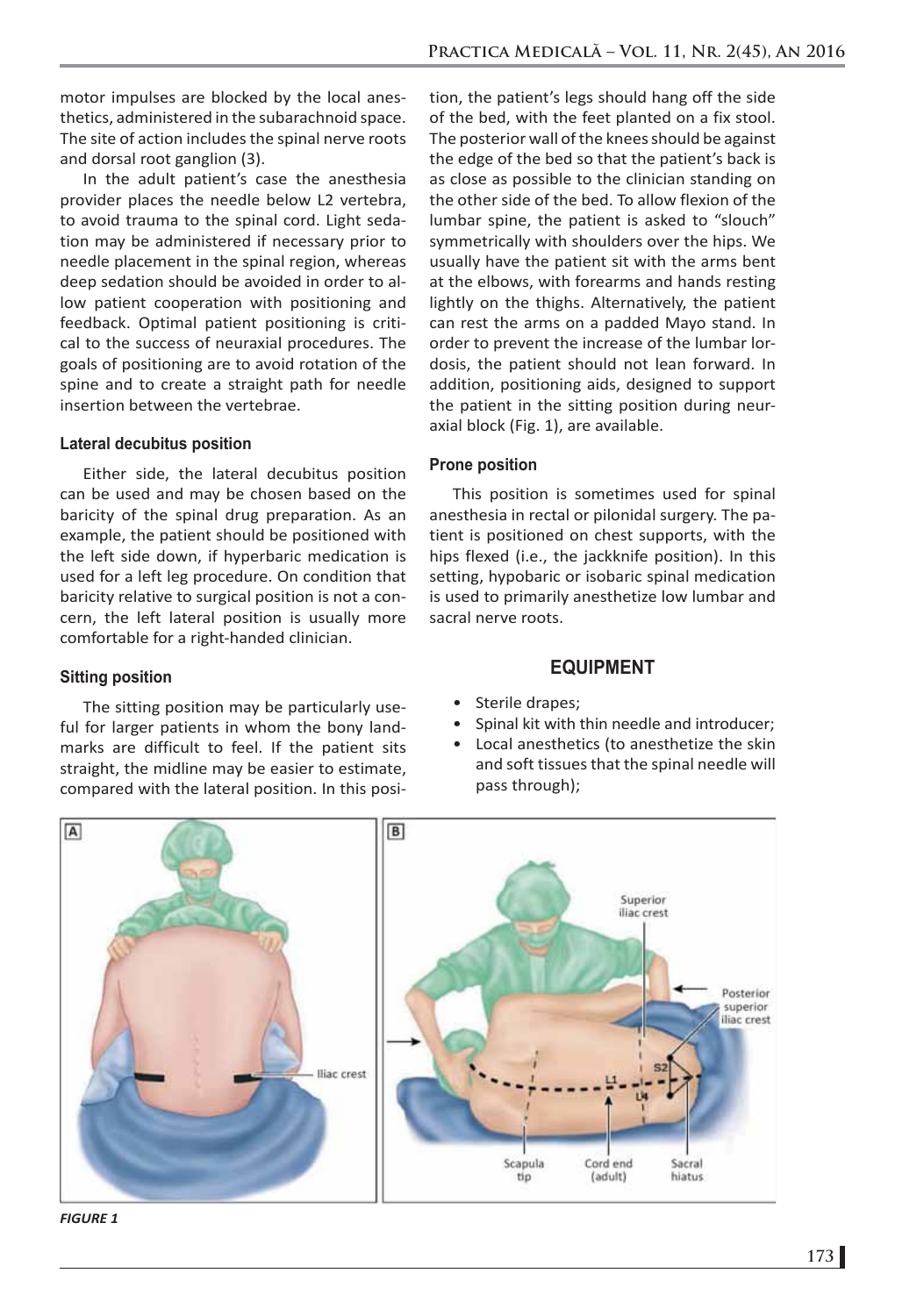motor impulses are blocked by the local anesthetics, administered in the subarachnoid space. The site of action includes the spinal nerve roots and dorsal root ganglion (3).

In the adult patient's case the anesthesia provider places the needle below L2 vertebra, to avoid trauma to the spinal cord. Light sedation may be administered if necessary prior to needle placement in the spinal region, whereas deep sedation should be avoided in order to allow patient cooperation with positioning and feedback. Optimal patient positioning is critical to the success of neuraxial procedures. The goals of positioning are to avoid rotation of the spine and to create a straight path for needle insertion between the vertebrae.

#### **Lateral decubitus position**

Either side, the lateral decubitus position can be used and may be chosen based on the baricity of the spinal drug preparation. As an example, the patient should be positioned with the left side down, if hyperbaric medication is used for a left leg procedure. On condition that baricity relative to surgical position is not a concern, the left lateral position is usually more comfortable for a right-handed clinician.

#### **Sitting position**

The sitting position may be particularly useful for larger patients in whom the bony landmarks are difficult to feel. If the patient sits straight, the midline may be easier to estimate, compared with the lateral position. In this posi-

tion, the patient's legs should hang off the side of the bed, with the feet planted on a fix stool. The posterior wall of the knees should be against the edge of the bed so that the patient's back is as close as possible to the clinician standing on the other side of the bed. To allow flexion of the lumbar spine, the patient is asked to "slouch" symmetrically with shoulders over the hips. We usually have the patient sit with the arms bent at the elbows, with forearms and hands resting lightly on the thighs. Alternatively, the patient can rest the arms on a padded Mayo stand. In order to prevent the increase of the lumbar lordosis, the patient should not lean forward. In addition, positioning aids, designed to support the patient in the sitting position during neuraxial block (Fig. 1), are available.

#### **Prone position**

This position is sometimes used for spinal anesthesia in rectal or pilonidal surgery. The patient is positioned on chest supports, with the hips flexed (i.e., the jackknife position). In this setting, hypobaric or isobaric spinal medication is used to primarily anesthetize low lumbar and sacral nerve roots.

#### **EQUIPMENT**

- Sterile drapes;
- Spinal kit with thin needle and introducer;
- Local anesthetics (to anesthetize the skin and soft tissues that the spinal needle will pass through);



*FIGURE 1*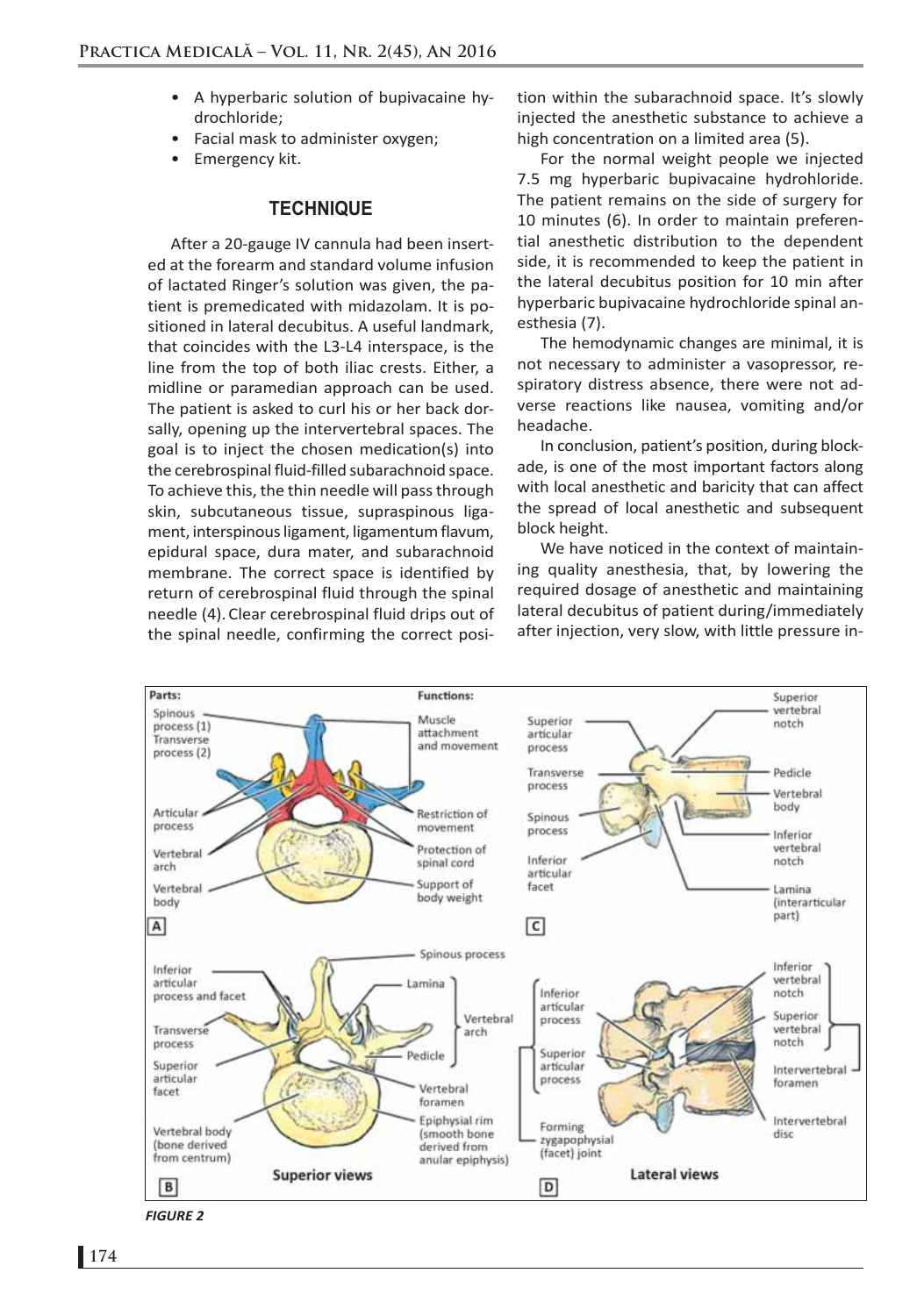- A hyperbaric solution of bupivacaine hydrochloride;
- Facial mask to administer oxygen;
- Emergency kit.

#### **TECHNIQUE**

After a 20-gauge IV cannula had been inserted at the forearm and standard volume infusion of lactated Ringer's solution was given, the patient is premedicated with midazolam. It is positioned in lateral decubitus. A useful landmark, that coincides with the L3-L4 interspace, is the line from the top of both iliac crests. Either, a midline or paramedian approach can be used. The patient is asked to curl his or her back dorsally, opening up the intervertebral spaces. The goal is to inject the chosen medication(s) into the cerebrospinal fluid-filled subarachnoid space. To achieve this, the thin needle will pass through skin, subcutaneous tissue, supraspinous ligament, interspinous ligament, ligamentum flavum, epidural space, dura mater, and subarachnoid membrane. The correct space is identified by return of cerebrospinal fluid through the spinal needle (4).Clear cerebrospinal fluid drips out of the spinal needle, confirming the correct position within the subarachnoid space. It's slowly injected the anesthetic substance to achieve a high concentration on a limited area (5).

For the normal weight people we injected 7.5 mg hyperbaric bupivacaine hydrohloride. The patient remains on the side of surgery for 10 minutes (6). In order to maintain preferential anesthetic distribution to the dependent side, it is recommended to keep the patient in the lateral decubitus position for 10 min after hyperbaric bupivacaine hydrochloride spinal anesthesia (7).

The hemodynamic changes are minimal, it is not necessary to administer a vasopressor, respiratory distress absence, there were not adverse reactions like nausea, vomiting and/or headache.

In conclusion, patient's position, during blockade, is one of the most important factors along with local anesthetic and baricity that can affect the spread of local anesthetic and subsequent block height.

We have noticed in the context of maintaining quality anesthesia, that, by lowering the required dosage of anesthetic and maintaining lateral decubitus of patient during/immediately after injection, very slow, with little pressure in-



*FIGURE 2*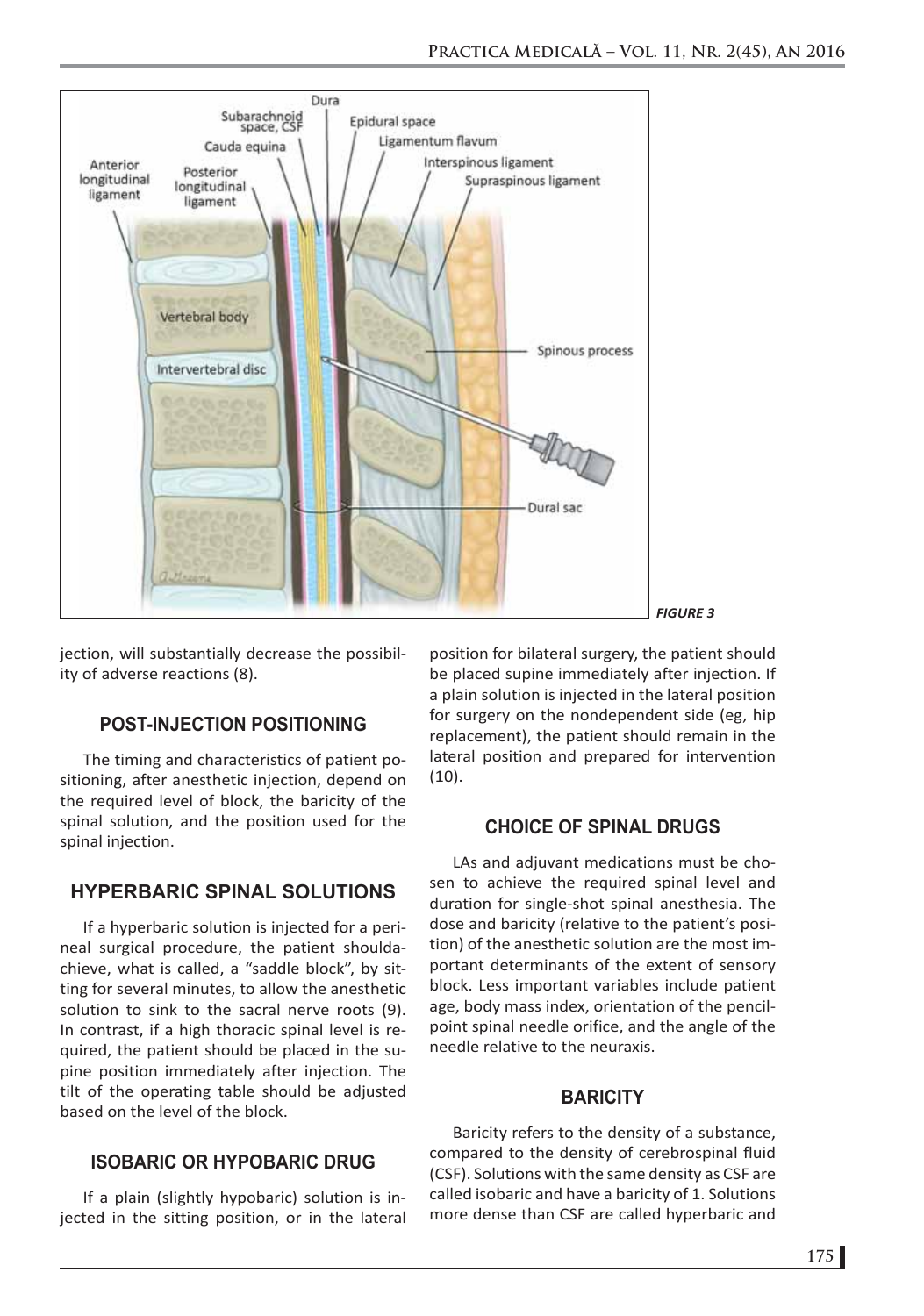

jection, will substantially decrease the possibility of adverse reactions (8).

# **POST-INJECTION POSITIONING**

The timing and characteristics of patient positioning, after anesthetic injection, depend on the required level of block, the baricity of the spinal solution, and the position used for the spinal injection.

# **HYPERBARIC SPINAL SOLUTIONS**

If a hyperbaric solution is injected for a perineal surgical procedure, the patient shouldachieve, what is called, a "saddle block", by sitting for several minutes, to allow the anesthetic solution to sink to the sacral nerve roots (9). In contrast, if a high thoracic spinal level is required, the patient should be placed in the supine position immediately after injection. The tilt of the operating table should be adjusted based on the level of the block.

# **ISOBARIC OR HYPOBARIC DRUG**

If a plain (slightly hypobaric) solution is injected in the sitting position, or in the lateral

position for bilateral surgery, the patient should be placed supine immediately after injection. If a plain solution is injected in the lateral position for surgery on the nondependent side (eg, hip replacement), the patient should remain in the lateral position and prepared for intervention (10).

# **CHOICE OF SPINAL DRUGS**

LAs and adjuvant medications must be chosen to achieve the required spinal level and duration for single-shot spinal anesthesia. The dose and baricity (relative to the patient's position) of the anesthetic solution are the most important determinants of the extent of sensory block. Less important variables include patient age, body mass index, orientation of the pencilpoint spinal needle orifice, and the angle of the needle relative to the neuraxis.

# **BARICITY**

Baricity refers to the density of a substance, compared to the density of cerebrospinal fluid (CSF). Solutions with the same density as CSF are called isobaric and have a baricity of 1. Solutions more dense than CSF are called hyperbaric and